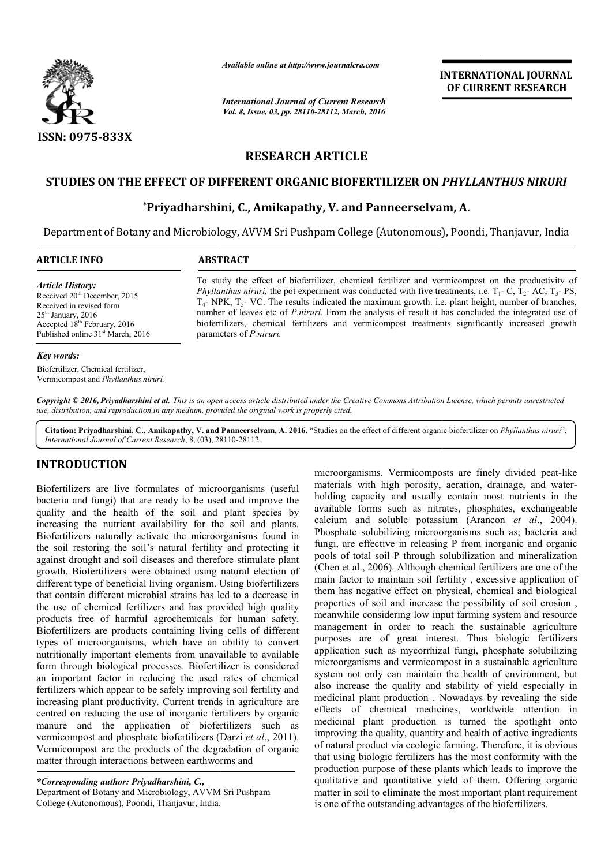

*Available online at http://www.journalcra.com*

*International Journal of Current Research Vol. 8, Issue, 03, pp. 28110-28112, March, 2016*

**INTERNATIONAL JOURNAL OF CURRENT RESEARCH** 

# **RESEARCH ARTICLE**

## **STUDIES ON THE EFFECT OF DIFFERENT ORGANIC BIOFERTILIZER ON**  *PHYLLANTHUS NIRURI NIRURI*

## **\*Priyadharshini, C. Priyadharshini, C., Amikapathy, V. and Panneerselvam Panneerselvam, A.**

Department of Botany and Microbiology, AVVM Sri Pushpam College (Autonomous), Poondi, Thanjavur, India

| <b>ARTICLE INFO</b>                                                                                                                                                                                                  | <b>ABSTRACT</b>                                                                                                                                                                                                                                                                                                                                                                                                                                                                                                                                                                                       |  |  |  |  |  |  |  |
|----------------------------------------------------------------------------------------------------------------------------------------------------------------------------------------------------------------------|-------------------------------------------------------------------------------------------------------------------------------------------------------------------------------------------------------------------------------------------------------------------------------------------------------------------------------------------------------------------------------------------------------------------------------------------------------------------------------------------------------------------------------------------------------------------------------------------------------|--|--|--|--|--|--|--|
| <b>Article History:</b><br>Received 20 <sup>th</sup> December, 2015<br>Received in revised form<br>$25th$ January, 2016<br>Accepted 18 <sup>th</sup> February, 2016<br>Published online 31 <sup>st</sup> March, 2016 | To study the effect of biofertilizer, chemical fertilizer and vermicompost on the productivity of<br><i>Phyllanthus niruri</i> , the pot experiment was conducted with five treatments, i.e. $T_1$ - C, $T_2$ - AC, $T_3$ - PS,<br>$T_{4}$ - NPK, $T_{5}$ - VC. The results indicated the maximum growth. i.e. plant height, number of branches,<br>number of leaves etc of <i>P.niruri</i> . From the analysis of result it has concluded the integrated use of<br>biofertilizers, chemical fertilizers and vermicompost treatments significantly increased growth<br>parameters of <i>P.niruri.</i> |  |  |  |  |  |  |  |
| Key words:                                                                                                                                                                                                           |                                                                                                                                                                                                                                                                                                                                                                                                                                                                                                                                                                                                       |  |  |  |  |  |  |  |
| Biofertilizer, Chemical fertilizer,<br>Vermicompost and Phyllanthus niruri.                                                                                                                                          |                                                                                                                                                                                                                                                                                                                                                                                                                                                                                                                                                                                                       |  |  |  |  |  |  |  |

*Copyright © 2016, Priyadharshini et al. This is an open access article distributed under the Creative Commons Att Attribution License, which ribution permits unrestricted use, distribution, and reproduction in any medium, provided the original work is properly cited.*

Citation: Priyadharshini, C., Amikapathy, V. and Panneerselvam, A. 2016. "Studies on the effect of different organic biofertilizer on *Phyllanthus niruri*", *International Journal of Current Research*, 8, (03), 28110 28110-28112.

### **INTRODUCTION**

Biofertilizers are live formulates of microorganisms (useful bacteria and fungi) that are ready to be used and improve the quality and the health of the soil and plant species by increasing the nutrient availability for the soil and plants. Biofertilizers naturally activate the microorganisms found in the soil restoring the soil's natural fertility and protecting it against drought and soil diseases and therefore stimulate plant growth. Biofertilizers were obtained using natural election of different type of beneficial living organism. Using biofertilizers that contain different microbial strains has led to a decrease in the use of chemical fertilizers and has provided high quality products free of harmful agrochemicals for human safety. Biofertilizers are products containing living cells of different types of microorganisms, which have an ability to convert nutritionally important elements from unavailable to available form through biological processes. Biofertilizer is considered an important factor in reducing the used rates of chemical fertilizers which appear to be safely improving soil fertility and increasing plant productivity. Current trends in agriculture are centred on reducing the use of inorganic fertilizers by organic manure and the application of biofertilizers such as vermicompost and phosphate biofertilizers (Darzi *et al*., 2011). Vermicompost are the products of the degradation of organic matter through interactions between earthworms and nt av<br>
y acti<br>
soil di<br>
were<br>
ficial<br>
micro<br>
fertiliz<br>
mful incroorganisms. Vermicomposits<br>
incroorganisms (useful materials with high porosity, and<br>
at are ready to be used and improve the holding capacity and usually c<br>
lth of the soil and plant species by available forms such a

*\*Corresponding author: Priyadharshini, C.,*  Department of Botany and Microbiology, AVVM Sri Pushpam College (Autonomous), Poondi, Thanjavur, India.

materials with high porosity, aeration, drainage, and waterholding capacity and usually contain most nutrients in the available forms such as nitrates, phosphates, exchangeable calcium and soluble potassium (Arancon  $et$   $al$ , 2004). Phosphate solubilizing microorganisms such as; bacteria and fungi, are effective in releasing P from inorganic and organic pools of total soil P through solubilization and mineralization Phosphate solubilizing microorganisms such as; bacteria and fungi, are effective in releasing P from inorganic and organic pools of total soil P through solubilization and mineralization (Chen et al., 2006). Although chemi main factor to maintain soil fertility , excessive application of them has negative effect on physical, chemical and biological properties of soil and increase the possibility of soil erosion , meanwhile considering low input farming system and resource management in order to reach the sustainable agriculture purposes are of great interest. Thus biologic fertilizers application such as mycorrhizal fungi, phosphate solubilizing microorganisms and vermicompost in a sustainable agriculture system not only can maintain the health of environment, but also increase the quality and stability of yield especially in medicinal plant production . Nowadays by revealing the side effects of chemical medicines, worldwide attention in medicinal plant production is turned the spotlight onto improving the quality, quantity and health of active ingredients of natural product via ecologic farming. Therefore, it is obvious that using biologic fertilizers has the most conformity with the improving the quality, quantity and health of active ingredients<br>of natural product via ecologic farming. Therefore, it is obvious<br>that using biologic fertilizers has the most conformity with the<br>production purpose of thes qualitative and quantitative yield of them. Offering organic matter in soil to eliminate the most important plant requirement is one of the outstanding advantages of the biofertilizers. microorganisms. Vermicomposts are finely divided peat-like holding capacity and usually contain most nutrients in the available forms such as nitrates, phosphates, exchangeable calcium and soluble potassium (Arancon *et al.*, 2004). main factor to maintain soil fertility, excessive application of<br>them has negative effect on physical, chemical and biological<br>properties of soil and increase the possibility of soil erosion,<br>meanwhile considering low inpu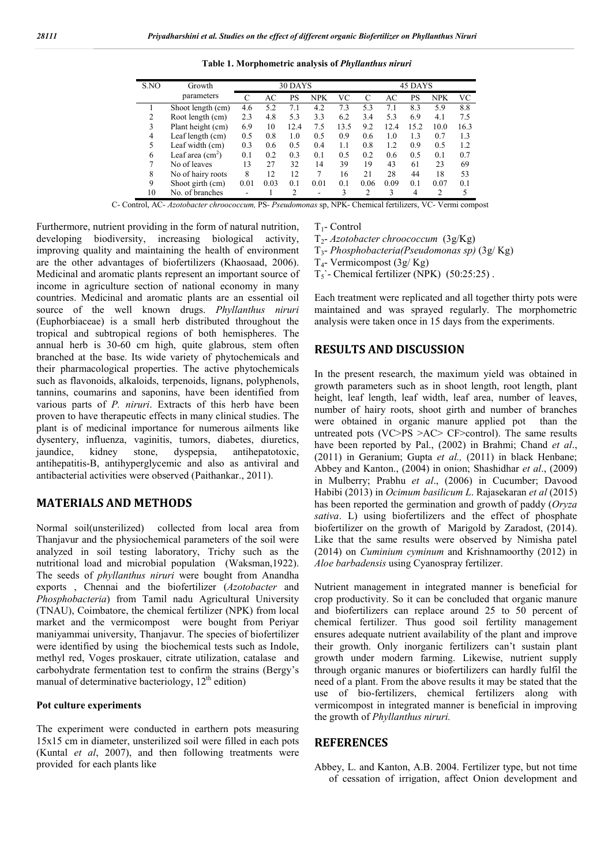| S.NO | Growth            | 30 DAYS |      |      |            |      | 45 DAYS        |      |      |            |      |
|------|-------------------|---------|------|------|------------|------|----------------|------|------|------------|------|
|      | parameters        | C       | AC   | PS   | <b>NPK</b> | VС   |                | AC   | PS   | <b>NPK</b> | VС   |
|      | Shoot length (cm) | 4.6     | 5.2  | 7.1  | 4.2        | 7.3  | 5.3            | 7.1  | 8.3  | 5.9        | 8.8  |
| 2    | Root length (cm)  | 2.3     | 4.8  | 5.3  | 3.3        | 6.2  | 3.4            | 5.3  | 6.9  | 4.1        | 7.5  |
| 3    | Plant height (cm) | 6.9     | 10   | 12.4 | 7.5        | 13.5 | 9.2            | 12.4 | 15.2 | 10.0       | 16.3 |
| 4    | Leaf length (cm)  | 0.5     | 0.8  | 1.0  | 0.5        | 0.9  | 0.6            | 1.0  | 1.3  | 0.7        | 1.3  |
| 5    | Leaf width (cm)   | 0.3     | 0.6  | 0.5  | 0.4        | 1.1  | 0.8            | 1.2  | 0.9  | 0.5        | 1.2  |
| 6    | Leaf area $(cm2)$ | 0.1     | 0.2  | 0.3  | 0.1        | 0.5  | 0.2            | 0.6  | 0.5  | 0.1        | 0.7  |
| 7    | No of leaves      | 13      | 27   | 32   | 14         | 39   | 19             | 43   | 61   | 23         | 69   |
| 8    | No of hairy roots | 8       | 12   | 12   | 7          | 16   | 21             | 28   | 44   | 18         | 53   |
| 9    | Shoot girth (cm)  | 0.01    | 0.03 | 0.1  | 0.01       | 0.1  | 0.06           | 0.09 | 0.1  | 0.07       | 0.1  |
| 10   | No. of branches   |         |      | 2    | -          | 3    | $\overline{c}$ | 3    | 4    | 2          | 5    |

**Table 1. Morphometric analysis of** *Phyllanthus niruri*

C- Control, AC- *Azotobacter chroococcum,* PS*- Pseudomonas* sp, NPK- Chemical fertilizers, VC- Vermi compost

Furthermore, nutrient providing in the form of natural nutrition, developing biodiversity, increasing biological activity, improving quality and maintaining the health of environment are the other advantages of biofertilizers (Khaosaad, 2006). Medicinal and aromatic plants represent an important source of income in agriculture section of national economy in many countries. Medicinal and aromatic plants are an essential oil source of the well known drugs. *Phyllanthus niruri*  (Euphorbiaceae) is a small herb distributed throughout the tropical and subtropical regions of both hemispheres. The annual herb is 30-60 cm high, quite glabrous, stem often branched at the base. Its wide variety of phytochemicals and their pharmacological properties. The active phytochemicals such as flavonoids, alkaloids, terpenoids, lignans, polyphenols, tannins, coumarins and saponins, have been identified from various parts of *P. niruri*. Extracts of this herb have been proven to have therapeutic effects in many clinical studies. The plant is of medicinal importance for numerous ailments like dysentery, influenza, vaginitis, tumors, diabetes, diuretics, jaundice, kidney stone, dyspepsia, antihepatotoxic, antihepatitis-B, antihyperglycemic and also as antiviral and antibacterial activities were observed (Paithankar., 2011).

### **MATERIALS AND METHODS**

Normal soil(unsterilized) collected from local area from Thanjavur and the physiochemical parameters of the soil were analyzed in soil testing laboratory, Trichy such as the nutritional load and microbial population (Waksman,1922). The seeds of *phyllanthus niruri* were bought from Anandha exports , Chennai and the biofertilizer (*Azotobacter* and *Phosphobacteria*) from Tamil nadu Agricultural University (TNAU), Coimbatore, the chemical fertilizer (NPK) from local market and the vermicompost were bought from Periyar maniyammai university, Thanjavur. The species of biofertilizer were identified by using the biochemical tests such as Indole, methyl red, Voges proskauer, citrate utilization, catalase and carbohydrate fermentation test to confirm the strains (Bergy's manual of determinative bacteriology,  $12<sup>th</sup>$  edition)

#### **Pot culture experiments**

The experiment were conducted in earthern pots measuring 15x15 cm in diameter, unsterilized soil were filled in each pots (Kuntal *et al*, 2007), and then following treatments were provided for each plants like

 $T_1$ - Control

T2- *Azotobacter chroococcum* (3g/Kg)

T3- *Phosphobacteria(Pseudomonas sp)* (3g/ Kg)

 $T_4$ - Vermicompost (3g/ Kg)

 $T_5$ '- Chemical fertilizer (NPK) (50:25:25).

Each treatment were replicated and all together thirty pots were maintained and was sprayed regularly. The morphometric analysis were taken once in 15 days from the experiments.

### **RESULTS AND DISCUSSION**

In the present research, the maximum yield was obtained in growth parameters such as in shoot length, root length, plant height, leaf length, leaf width, leaf area, number of leaves, number of hairy roots, shoot girth and number of branches were obtained in organic manure applied pot than the untreated pots (VC>PS >AC> CF>control). The same results have been reported by Pal., (2002) in Brahmi; Chand *et al*., (2011) in Geranium; Gupta *et al.,* (2011) in black Henbane; Abbey and Kanton., (2004) in onion; Shashidhar *et al*., (2009) in Mulberry; Prabhu *et al*., (2006) in Cucumber; Davood Habibi (2013) in *Ocimum basilicum L*. Rajasekaran *et al* (2015) has been reported the germination and growth of paddy (*Oryza sativa*. L) using biofertilizers and the effect of phosphate biofertilizer on the growth of Marigold by Zaradost, (2014). Like that the same results were observed by Nimisha patel (2014) on *Cuminium cyminum* and Krishnamoorthy (2012) in *Aloe barbadensis* using Cyanospray fertilizer.

Nutrient management in integrated manner is beneficial for crop productivity. So it can be concluded that organic manure and biofertilizers can replace around 25 to 50 percent of chemical fertilizer. Thus good soil fertility management ensures adequate nutrient availability of the plant and improve their growth. Only inorganic fertilizers can't sustain plant growth under modern farming. Likewise, nutrient supply through organic manures or biofertilizers can hardly fulfil the need of a plant. From the above results it may be stated that the use of bio-fertilizers, chemical fertilizers along with vermicompost in integrated manner is beneficial in improving the growth of *Phyllanthus niruri.*

#### **REFERENCES**

Abbey, L. and Kanton, A.B. 2004. Fertilizer type, but not time of cessation of irrigation, affect Onion development and